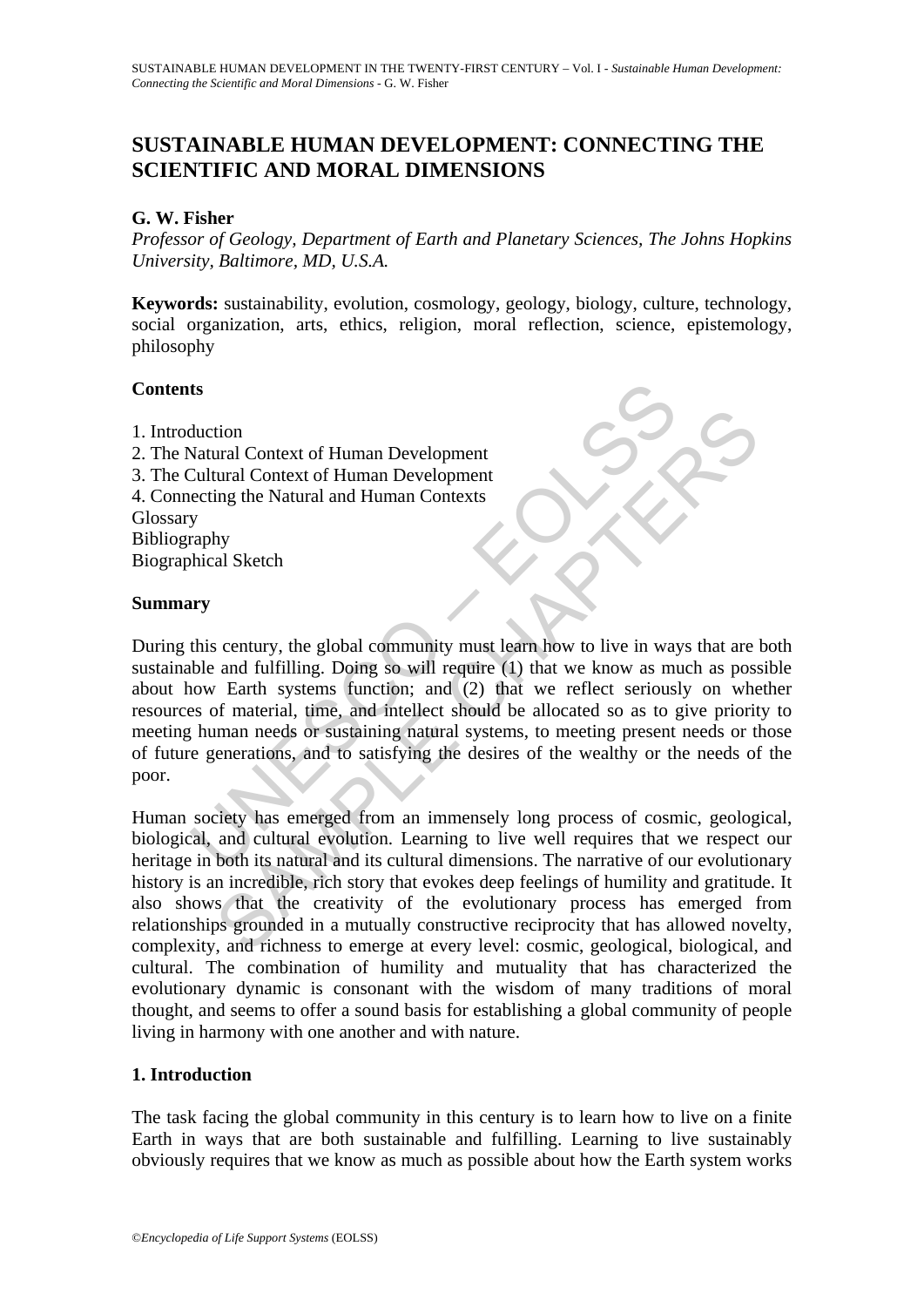# **SUSTAINABLE HUMAN DEVELOPMENT: CONNECTING THE SCIENTIFIC AND MORAL DIMENSIONS**

## **G. W. Fisher**

*Professor of Geology, Department of Earth and Planetary Sciences, The Johns Hopkins University, Baltimore, MD, U.S.A.* 

**Keywords:** sustainability, evolution, cosmology, geology, biology, culture, technology, social organization, arts, ethics, religion, moral reflection, science, epistemology, philosophy

### **Contents**

- 1. Introduction
- 2. The Natural Context of Human Development
- 3. The Cultural Context of Human Development
- 4. Connecting the Natural and Human Contexts

Glossary Bibliography Biographical Sketch

### **Summary**

**Solution**<br> **Solution**<br> **Solution**<br> **Solutional Context of Human Development**<br> **Cultural Context of Human Development**<br> **ecting the Natural and Human Contexts**<br> **y**<br> **arghly**<br> **olution**<br> **is century, the global community m** The time of Human Development<br>
tural Context of Human Development<br>
tural Context of Human Development<br>
tural Context of Human Development<br>
an and fulfilling. Doing so will reguire (1) that we know as much as possible<br>
is a During this century, the global community must learn how to live in ways that are both sustainable and fulfilling. Doing so will require (1) that we know as much as possible about how Earth systems function; and (2) that we reflect seriously on whether resources of material, time, and intellect should be allocated so as to give priority to meeting human needs or sustaining natural systems, to meeting present needs or those of future generations, and to satisfying the desires of the wealthy or the needs of the poor.

Human society has emerged from an immensely long process of cosmic, geological, biological, and cultural evolution. Learning to live well requires that we respect our heritage in both its natural and its cultural dimensions. The narrative of our evolutionary history is an incredible, rich story that evokes deep feelings of humility and gratitude. It also shows that the creativity of the evolutionary process has emerged from relationships grounded in a mutually constructive reciprocity that has allowed novelty, complexity, and richness to emerge at every level: cosmic, geological, biological, and cultural. The combination of humility and mutuality that has characterized the evolutionary dynamic is consonant with the wisdom of many traditions of moral thought, and seems to offer a sound basis for establishing a global community of people living in harmony with one another and with nature.

## **1. Introduction**

The task facing the global community in this century is to learn how to live on a finite Earth in ways that are both sustainable and fulfilling. Learning to live sustainably obviously requires that we know as much as possible about how the Earth system works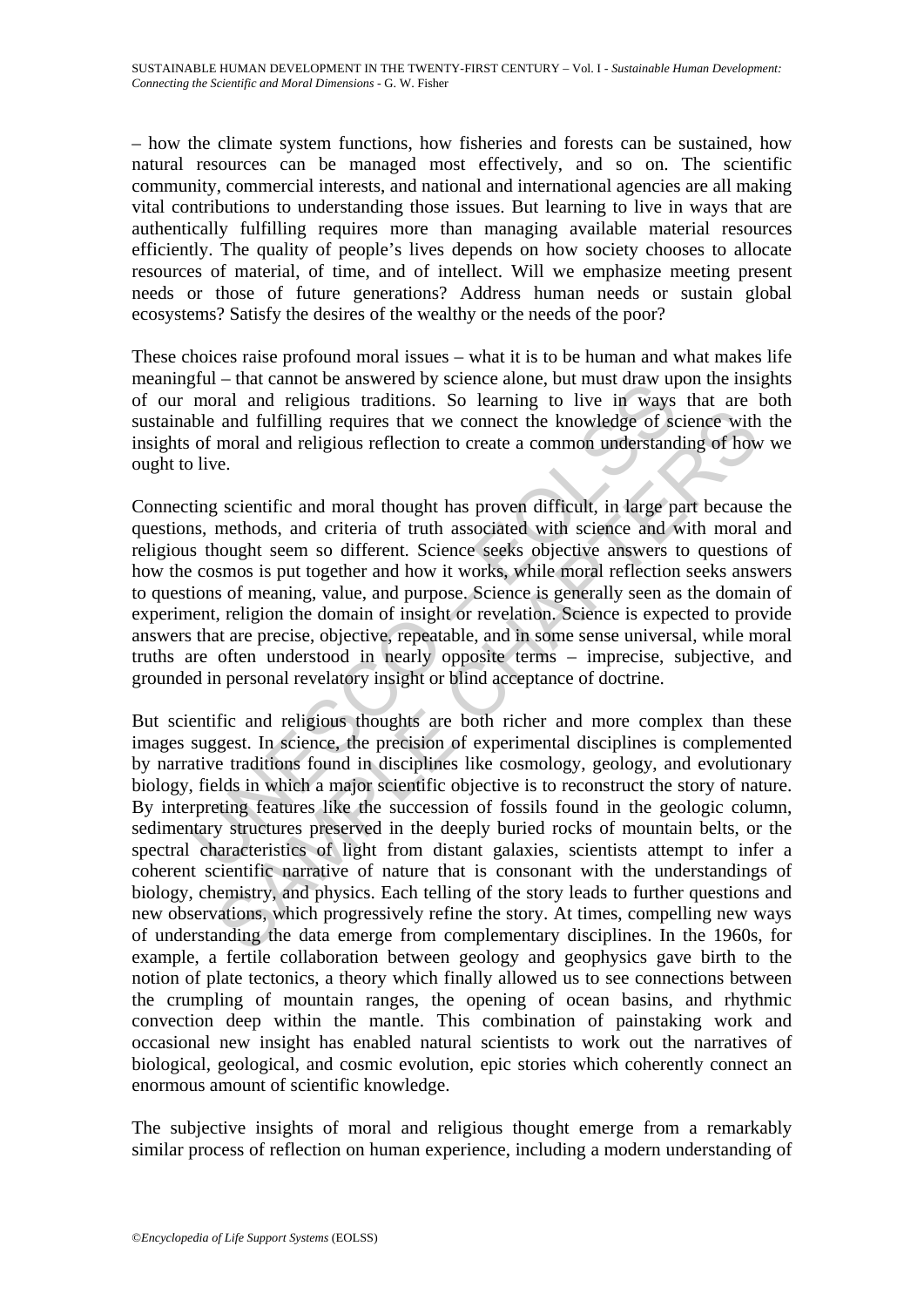– how the climate system functions, how fisheries and forests can be sustained, how natural resources can be managed most effectively, and so on. The scientific community, commercial interests, and national and international agencies are all making vital contributions to understanding those issues. But learning to live in ways that are authentically fulfilling requires more than managing available material resources efficiently. The quality of people's lives depends on how society chooses to allocate resources of material, of time, and of intellect. Will we emphasize meeting present needs or those of future generations? Address human needs or sustain global ecosystems? Satisfy the desires of the wealthy or the needs of the poor?

These choices raise profound moral issues – what it is to be human and what makes life meaningful – that cannot be answered by science alone, but must draw upon the insights of our moral and religious traditions. So learning to live in ways that are both sustainable and fulfilling requires that we connect the knowledge of science with the insights of moral and religious reflection to create a common understanding of how we ought to live.

gian – una cannot be answered by schene anone, but must unaw up<br>moral and religious traditions. So learning to live in ways<br>be and fulfilling requires that we connect the knowledge of sc<br>of moral and religious reflection t Connecting scientific and moral thought has proven difficult, in large part because the questions, methods, and criteria of truth associated with science and with moral and religious thought seem so different. Science seeks objective answers to questions of how the cosmos is put together and how it works, while moral reflection seeks answers to questions of meaning, value, and purpose. Science is generally seen as the domain of experiment, religion the domain of insight or revelation. Science is expected to provide answers that are precise, objective, repeatable, and in some sense universal, while moral truths are often understood in nearly opposite terms – imprecise, subjective, and grounded in personal revelatory insight or blind acceptance of doctrine.

and fulfilling requires that we connect the knowledge of science with<br>moral and fulfilling requires that we connect the knowledge of science with<br>moral and religious reflection to create a common understanding of how<br>e.<br>g. But scientific and religious thoughts are both richer and more complex than these images suggest. In science, the precision of experimental disciplines is complemented by narrative traditions found in disciplines like cosmology, geology, and evolutionary biology, fields in which a major scientific objective is to reconstruct the story of nature. By interpreting features like the succession of fossils found in the geologic column, sedimentary structures preserved in the deeply buried rocks of mountain belts, or the spectral characteristics of light from distant galaxies, scientists attempt to infer a coherent scientific narrative of nature that is consonant with the understandings of biology, chemistry, and physics. Each telling of the story leads to further questions and new observations, which progressively refine the story. At times, compelling new ways of understanding the data emerge from complementary disciplines. In the 1960s, for example, a fertile collaboration between geology and geophysics gave birth to the notion of plate tectonics, a theory which finally allowed us to see connections between the crumpling of mountain ranges, the opening of ocean basins, and rhythmic convection deep within the mantle. This combination of painstaking work and occasional new insight has enabled natural scientists to work out the narratives of biological, geological, and cosmic evolution, epic stories which coherently connect an enormous amount of scientific knowledge.

The subjective insights of moral and religious thought emerge from a remarkably similar process of reflection on human experience, including a modern understanding of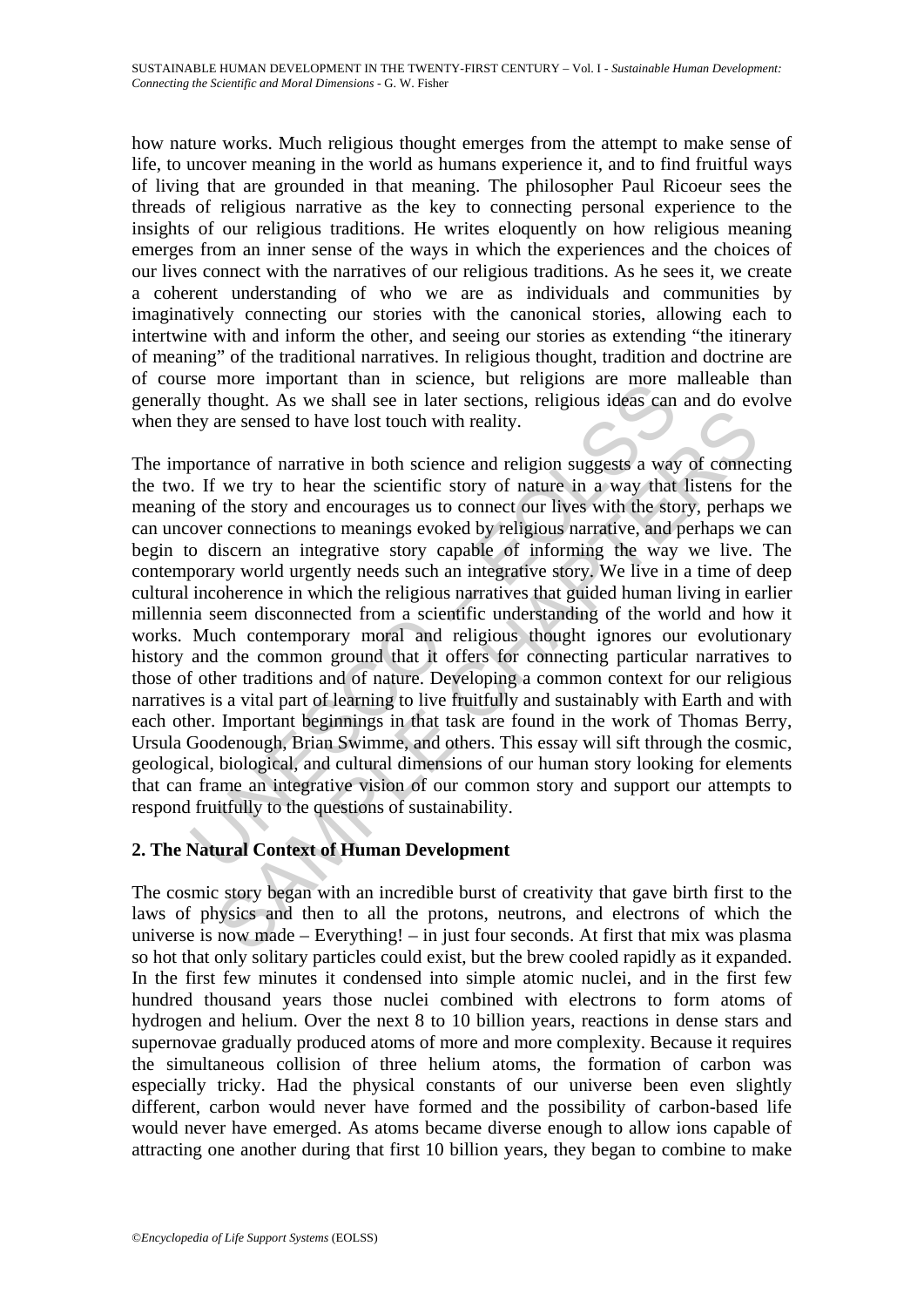how nature works. Much religious thought emerges from the attempt to make sense of life, to uncover meaning in the world as humans experience it, and to find fruitful ways of living that are grounded in that meaning. The philosopher Paul Ricoeur sees the threads of religious narrative as the key to connecting personal experience to the insights of our religious traditions. He writes eloquently on how religious meaning emerges from an inner sense of the ways in which the experiences and the choices of our lives connect with the narratives of our religious traditions. As he sees it, we create a coherent understanding of who we are as individuals and communities by imaginatively connecting our stories with the canonical stories, allowing each to intertwine with and inform the other, and seeing our stories as extending "the itinerary of meaning" of the traditional narratives. In religious thought, tradition and doctrine are of course more important than in science, but religions are more malleable than generally thought. As we shall see in later sections, religious ideas can and do evolve when they are sensed to have lost touch with reality.

se more important unant in scince, out enginos are more is<br>by thought. As we shall see in later sections, religious ideas can<br>ey are sensed to have lost touch with reality.<br>
Dortance of narrative in both science and religi are sensed to have lost touch with reality.<br>The same sensed to have lost touch with reality.<br>The same sensed to have lost touch with reality.<br>The same of narrative in a way that listens for the story and encourages us to c The importance of narrative in both science and religion suggests a way of connecting the two. If we try to hear the scientific story of nature in a way that listens for the meaning of the story and encourages us to connect our lives with the story, perhaps we can uncover connections to meanings evoked by religious narrative, and perhaps we can begin to discern an integrative story capable of informing the way we live. The contemporary world urgently needs such an integrative story. We live in a time of deep cultural incoherence in which the religious narratives that guided human living in earlier millennia seem disconnected from a scientific understanding of the world and how it works. Much contemporary moral and religious thought ignores our evolutionary history and the common ground that it offers for connecting particular narratives to those of other traditions and of nature. Developing a common context for our religious narratives is a vital part of learning to live fruitfully and sustainably with Earth and with each other. Important beginnings in that task are found in the work of Thomas Berry, Ursula Goodenough, Brian Swimme, and others. This essay will sift through the cosmic, geological, biological, and cultural dimensions of our human story looking for elements that can frame an integrative vision of our common story and support our attempts to respond fruitfully to the questions of sustainability.

## **2. The Natural Context of Human Development**

The cosmic story began with an incredible burst of creativity that gave birth first to the laws of physics and then to all the protons, neutrons, and electrons of which the universe is now made – Everything! – in just four seconds. At first that mix was plasma so hot that only solitary particles could exist, but the brew cooled rapidly as it expanded. In the first few minutes it condensed into simple atomic nuclei, and in the first few hundred thousand years those nuclei combined with electrons to form atoms of hydrogen and helium. Over the next 8 to 10 billion years, reactions in dense stars and supernovae gradually produced atoms of more and more complexity. Because it requires the simultaneous collision of three helium atoms, the formation of carbon was especially tricky. Had the physical constants of our universe been even slightly different, carbon would never have formed and the possibility of carbon-based life would never have emerged. As atoms became diverse enough to allow ions capable of attracting one another during that first 10 billion years, they began to combine to make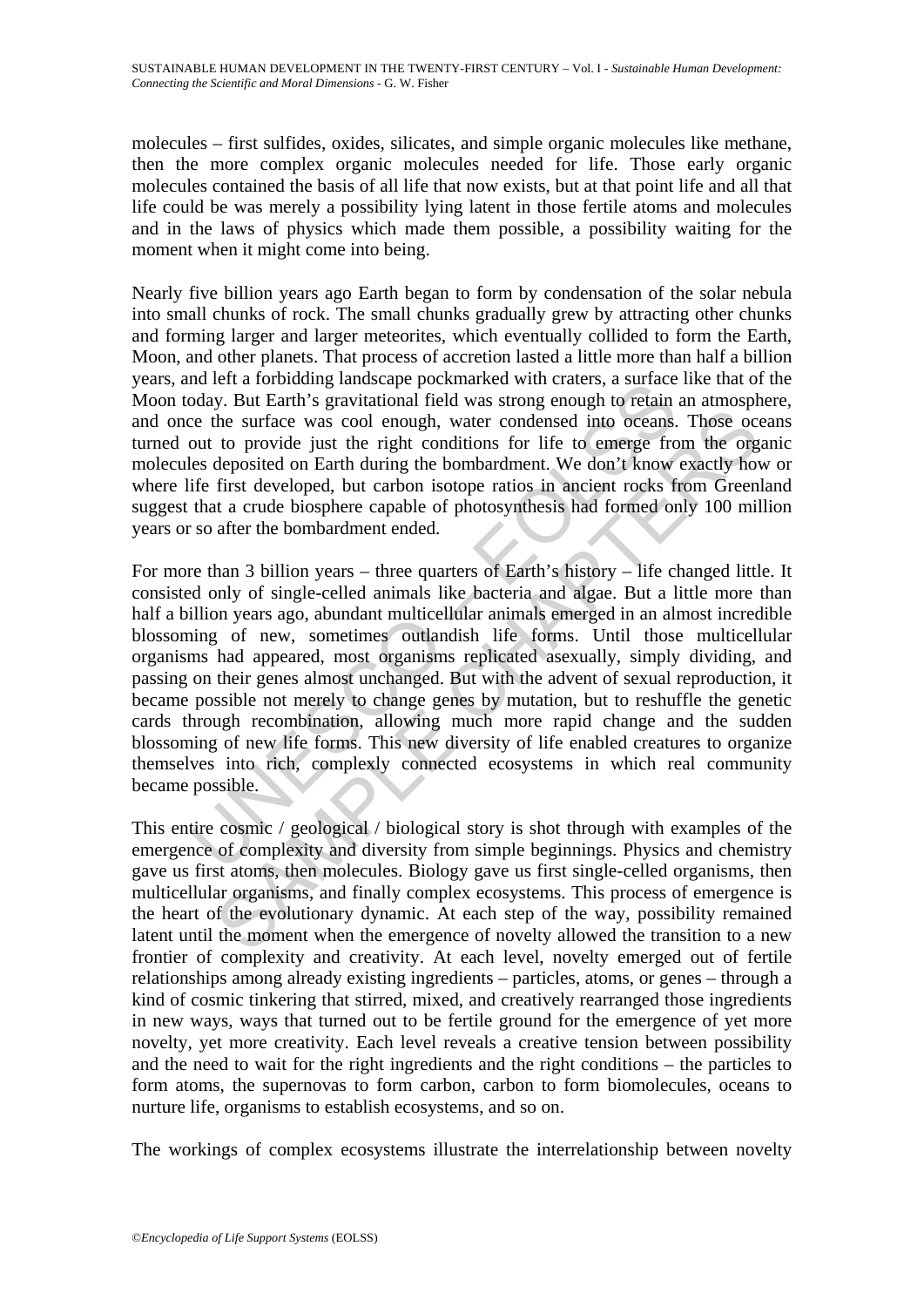molecules – first sulfides, oxides, silicates, and simple organic molecules like methane, then the more complex organic molecules needed for life. Those early organic molecules contained the basis of all life that now exists, but at that point life and all that life could be was merely a possibility lying latent in those fertile atoms and molecules and in the laws of physics which made them possible, a possibility waiting for the moment when it might come into being.

Nearly five billion years ago Earth began to form by condensation of the solar nebula into small chunks of rock. The small chunks gradually grew by attracting other chunks and forming larger and larger meteorites, which eventually collided to form the Earth, Moon, and other planets. That process of accretion lasted a little more than half a billion years, and left a forbidding landscape pockmarked with craters, a surface like that of the Moon today. But Earth's gravitational field was strong enough to retain an atmosphere, and once the surface was cool enough, water condensed into oceans. Those oceans turned out to provide just the right conditions for life to emerge from the organic molecules deposited on Earth during the bombardment. We don't know exactly how or where life first developed, but carbon isotope ratios in ancient rocks from Greenland suggest that a crude biosphere capable of photosynthesis had formed only 100 million years or so after the bombardment ended.

nu ert a rotonumy rannscape pockmanced with clastes, a sometice<br>oday. But Earth's gravitational field was strong enough to retain<br>ce the surface was cool enough, water condensed into oceans.<br>out to provide just the right c be surface was cool enough, water condensed into oceans. Those occupied the surface was cool enough, water condensed into oceans. Those occupied to married with during the bombardment. We don't know exactly how the deposit For more than 3 billion years – three quarters of Earth's history – life changed little. It consisted only of single-celled animals like bacteria and algae. But a little more than half a billion years ago, abundant multicellular animals emerged in an almost incredible blossoming of new, sometimes outlandish life forms. Until those multicellular organisms had appeared, most organisms replicated asexually, simply dividing, and passing on their genes almost unchanged. But with the advent of sexual reproduction, it became possible not merely to change genes by mutation, but to reshuffle the genetic cards through recombination, allowing much more rapid change and the sudden blossoming of new life forms. This new diversity of life enabled creatures to organize themselves into rich, complexly connected ecosystems in which real community became possible.

This entire cosmic / geological / biological story is shot through with examples of the emergence of complexity and diversity from simple beginnings. Physics and chemistry gave us first atoms, then molecules. Biology gave us first single-celled organisms, then multicellular organisms, and finally complex ecosystems. This process of emergence is the heart of the evolutionary dynamic. At each step of the way, possibility remained latent until the moment when the emergence of novelty allowed the transition to a new frontier of complexity and creativity. At each level, novelty emerged out of fertile relationships among already existing ingredients – particles, atoms, or genes – through a kind of cosmic tinkering that stirred, mixed, and creatively rearranged those ingredients in new ways, ways that turned out to be fertile ground for the emergence of yet more novelty, yet more creativity. Each level reveals a creative tension between possibility and the need to wait for the right ingredients and the right conditions – the particles to form atoms, the supernovas to form carbon, carbon to form biomolecules, oceans to nurture life, organisms to establish ecosystems, and so on.

The workings of complex ecosystems illustrate the interrelationship between novelty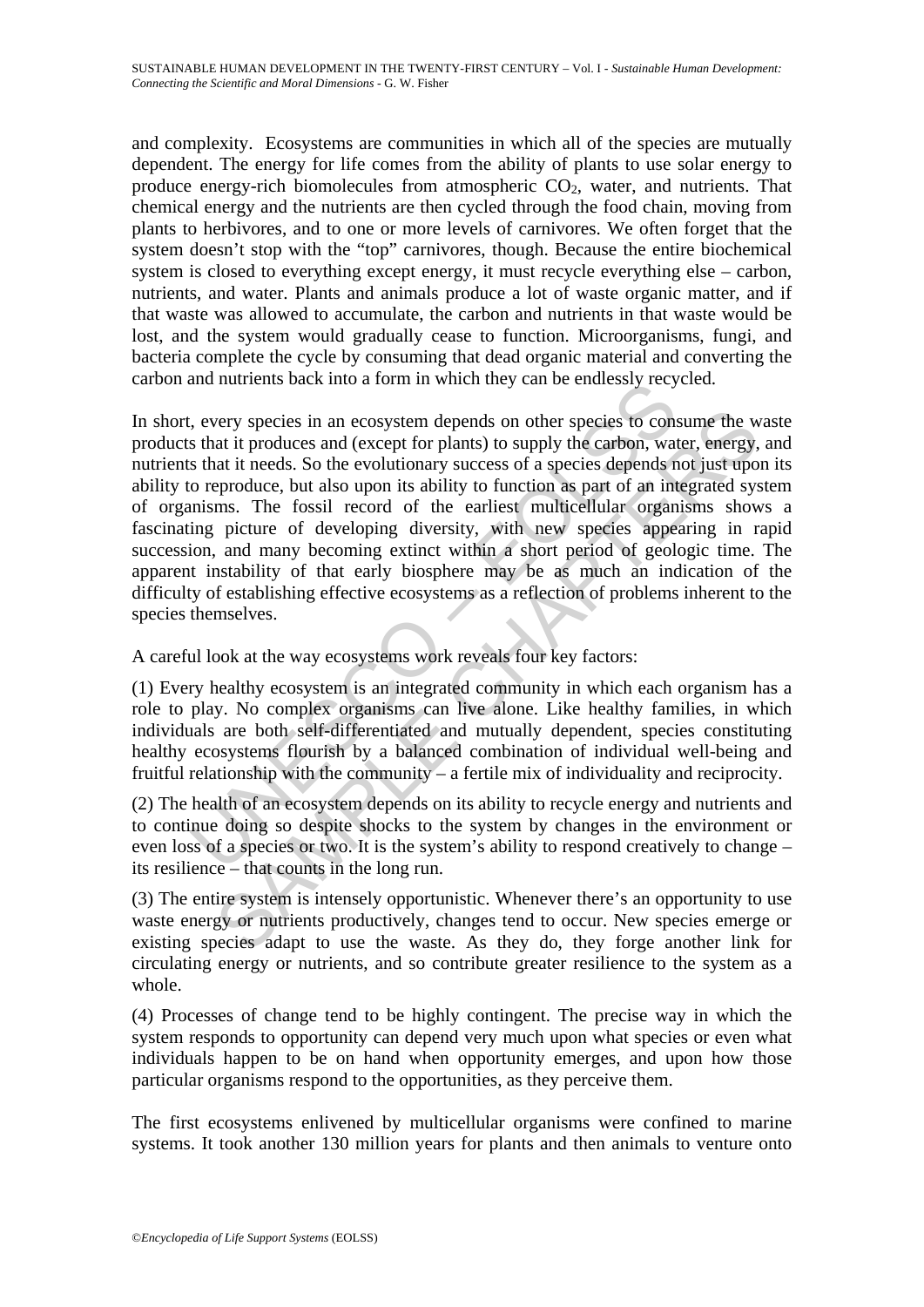and complexity. Ecosystems are communities in which all of the species are mutually dependent. The energy for life comes from the ability of plants to use solar energy to produce energy-rich biomolecules from atmospheric  $CO<sub>2</sub>$ , water, and nutrients. That chemical energy and the nutrients are then cycled through the food chain, moving from plants to herbivores, and to one or more levels of carnivores. We often forget that the system doesn't stop with the "top" carnivores, though. Because the entire biochemical system is closed to everything except energy, it must recycle everything else – carbon, nutrients, and water. Plants and animals produce a lot of waste organic matter, and if that waste was allowed to accumulate, the carbon and nutrients in that waste would be lost, and the system would gradually cease to function. Microorganisms, fungi, and bacteria complete the cycle by consuming that dead organic material and converting the carbon and nutrients back into a form in which they can be endlessly recycled.

and inducents back mio a form in winch they can be endeasily jecty<br>solvents that it produces and (except for plants) to supply the carbon, wat<br>s that it produces and (except for plants) to supply the carbon, wat<br>s that it very species in an ecosystem depends on other species to consume the wat it produces and (except for plants) to supply the carbon, water, energy, and it ireds. So the evolutionary success of a species depends not just upon In short, every species in an ecosystem depends on other species to consume the waste products that it produces and (except for plants) to supply the carbon, water, energy, and nutrients that it needs. So the evolutionary success of a species depends not just upon its ability to reproduce, but also upon its ability to function as part of an integrated system of organisms. The fossil record of the earliest multicellular organisms shows a fascinating picture of developing diversity, with new species appearing in rapid succession, and many becoming extinct within a short period of geologic time. The apparent instability of that early biosphere may be as much an indication of the difficulty of establishing effective ecosystems as a reflection of problems inherent to the species themselves.

A careful look at the way ecosystems work reveals four key factors:

(1) Every healthy ecosystem is an integrated community in which each organism has a role to play. No complex organisms can live alone. Like healthy families, in which individuals are both self-differentiated and mutually dependent, species constituting healthy ecosystems flourish by a balanced combination of individual well-being and fruitful relationship with the community – a fertile mix of individuality and reciprocity.

(2) The health of an ecosystem depends on its ability to recycle energy and nutrients and to continue doing so despite shocks to the system by changes in the environment or even loss of a species or two. It is the system's ability to respond creatively to change – its resilience – that counts in the long run.

(3) The entire system is intensely opportunistic. Whenever there's an opportunity to use waste energy or nutrients productively, changes tend to occur. New species emerge or existing species adapt to use the waste. As they do, they forge another link for circulating energy or nutrients, and so contribute greater resilience to the system as a whole.

(4) Processes of change tend to be highly contingent. The precise way in which the system responds to opportunity can depend very much upon what species or even what individuals happen to be on hand when opportunity emerges, and upon how those particular organisms respond to the opportunities, as they perceive them.

The first ecosystems enlivened by multicellular organisms were confined to marine systems. It took another 130 million years for plants and then animals to venture onto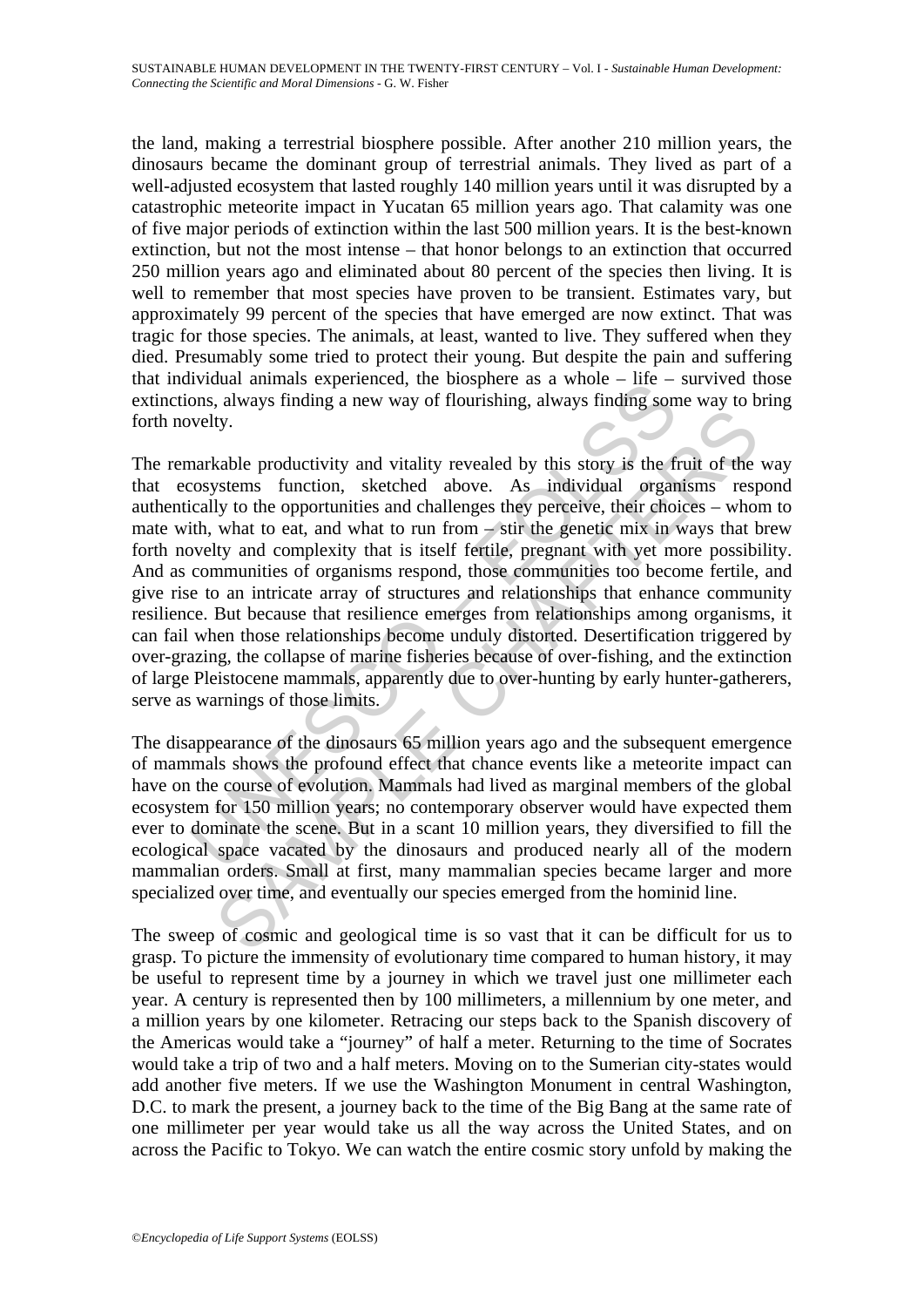the land, making a terrestrial biosphere possible. After another 210 million years, the dinosaurs became the dominant group of terrestrial animals. They lived as part of a well-adjusted ecosystem that lasted roughly 140 million years until it was disrupted by a catastrophic meteorite impact in Yucatan 65 million years ago. That calamity was one of five major periods of extinction within the last 500 million years. It is the best-known extinction, but not the most intense – that honor belongs to an extinction that occurred 250 million years ago and eliminated about 80 percent of the species then living. It is well to remember that most species have proven to be transient. Estimates vary, but approximately 99 percent of the species that have emerged are now extinct. That was tragic for those species. The animals, at least, wanted to live. They suffered when they died. Presumably some tried to protect their young. But despite the pain and suffering that individual animals experienced, the biosphere as a whole  $-$  life  $-$  survived those extinctions, always finding a new way of flourishing, always finding some way to bring forth novelty.

Inviolation animals experience, the bisphere as a whole – me –<br>
Inviolation, always finding a new way of flourishing, always finding som<br>
welty.<br>
Examples a new way of flourishing, always finding some<br>
welty.<br>
Examples the by.<br>
W.<br>
Kable productivity and vitality revealed by this story is the fruit of the<br>
systems function, sketched above. As individual organisms resp<br>
ly to the opportunities and challenges they perceive, their choices – who The remarkable productivity and vitality revealed by this story is the fruit of the way that ecosystems function, sketched above. As individual organisms respond authentically to the opportunities and challenges they perceive, their choices – whom to mate with, what to eat, and what to run from  $\frac{1}{2}$  stir the genetic mix in ways that brew forth novelty and complexity that is itself fertile, pregnant with yet more possibility. And as communities of organisms respond, those communities too become fertile, and give rise to an intricate array of structures and relationships that enhance community resilience. But because that resilience emerges from relationships among organisms, it can fail when those relationships become unduly distorted. Desertification triggered by over-grazing, the collapse of marine fisheries because of over-fishing, and the extinction of large Pleistocene mammals, apparently due to over-hunting by early hunter-gatherers, serve as warnings of those limits.

The disappearance of the dinosaurs 65 million years ago and the subsequent emergence of mammals shows the profound effect that chance events like a meteorite impact can have on the course of evolution. Mammals had lived as marginal members of the global ecosystem for 150 million years; no contemporary observer would have expected them ever to dominate the scene. But in a scant 10 million years, they diversified to fill the ecological space vacated by the dinosaurs and produced nearly all of the modern mammalian orders. Small at first, many mammalian species became larger and more specialized over time, and eventually our species emerged from the hominid line.

The sweep of cosmic and geological time is so vast that it can be difficult for us to grasp. To picture the immensity of evolutionary time compared to human history, it may be useful to represent time by a journey in which we travel just one millimeter each year. A century is represented then by 100 millimeters, a millennium by one meter, and a million years by one kilometer. Retracing our steps back to the Spanish discovery of the Americas would take a "journey" of half a meter. Returning to the time of Socrates would take a trip of two and a half meters. Moving on to the Sumerian city-states would add another five meters. If we use the Washington Monument in central Washington, D.C. to mark the present, a journey back to the time of the Big Bang at the same rate of one millimeter per year would take us all the way across the United States, and on across the Pacific to Tokyo. We can watch the entire cosmic story unfold by making the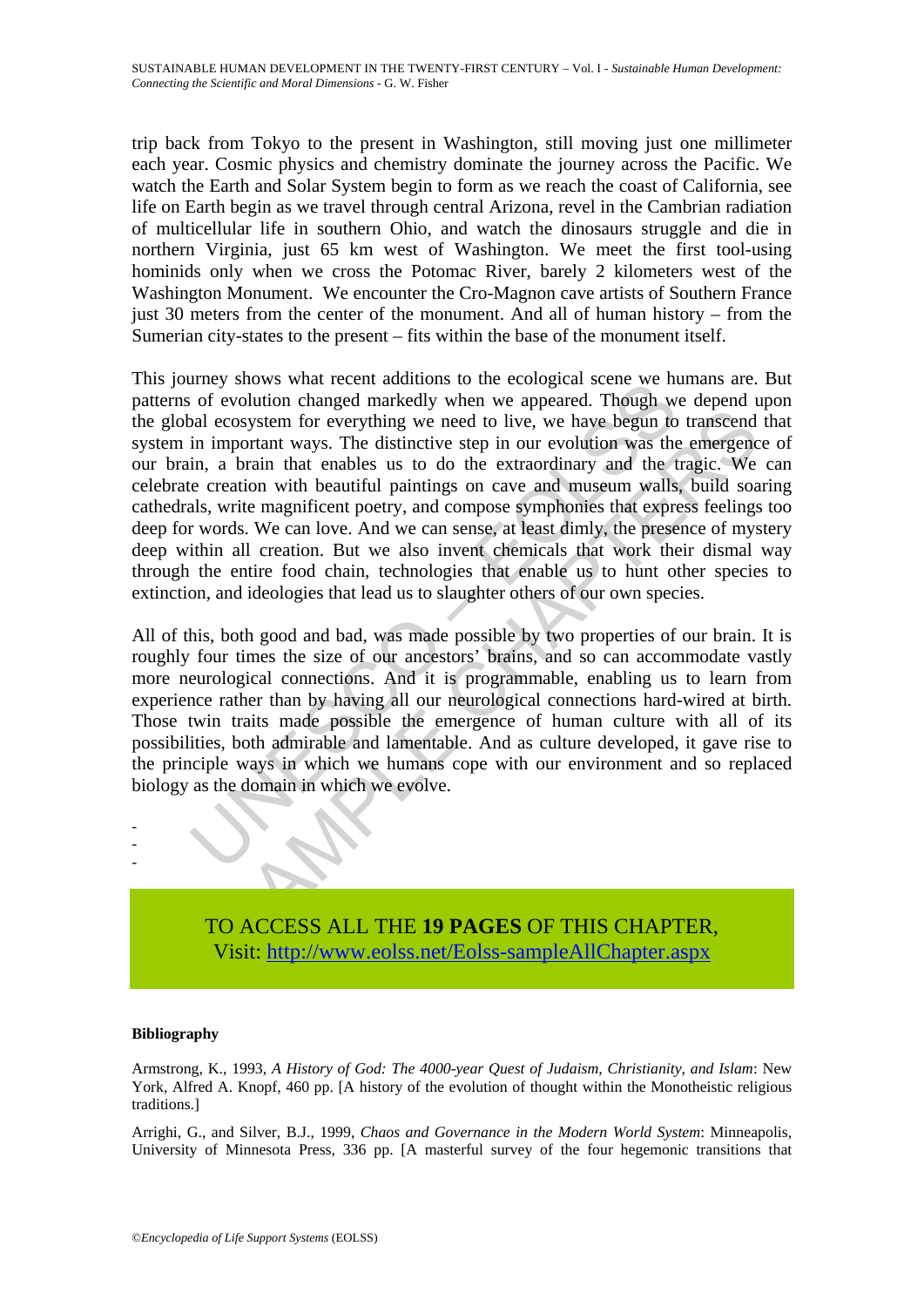trip back from Tokyo to the present in Washington, still moving just one millimeter each year. Cosmic physics and chemistry dominate the journey across the Pacific. We watch the Earth and Solar System begin to form as we reach the coast of California, see life on Earth begin as we travel through central Arizona, revel in the Cambrian radiation of multicellular life in southern Ohio, and watch the dinosaurs struggle and die in northern Virginia, just 65 km west of Washington. We meet the first tool-using hominids only when we cross the Potomac River, barely 2 kilometers west of the Washington Monument. We encounter the Cro-Magnon cave artists of Southern France just 30 meters from the center of the monument. And all of human history – from the Sumerian city-states to the present – fits within the base of the monument itself.

They shows what recent adoutions to the econogram scene we have<br>not of evolution changed markedly when we appeared. Though we<br>not exorginal secosystem for everything we need to live, we have begun to<br>in important ways. The ecosystem for everything we need to live, we have begun to transcend<br>important ways. The distinctive step in our evolution was the emergency<br>a hrani that enables us to do the extraordinary and the transcend<br>a brani materia This journey shows what recent additions to the ecological scene we humans are. But patterns of evolution changed markedly when we appeared. Though we depend upon the global ecosystem for everything we need to live, we have begun to transcend that system in important ways. The distinctive step in our evolution was the emergence of our brain, a brain that enables us to do the extraordinary and the tragic. We can celebrate creation with beautiful paintings on cave and museum walls, build soaring cathedrals, write magnificent poetry, and compose symphonies that express feelings too deep for words. We can love. And we can sense, at least dimly, the presence of mystery deep within all creation. But we also invent chemicals that work their dismal way through the entire food chain, technologies that enable us to hunt other species to extinction, and ideologies that lead us to slaughter others of our own species.

All of this, both good and bad, was made possible by two properties of our brain. It is roughly four times the size of our ancestors' brains, and so can accommodate vastly more neurological connections. And it is programmable, enabling us to learn from experience rather than by having all our neurological connections hard-wired at birth. Those twin traits made possible the emergence of human culture with all of its possibilities, both admirable and lamentable. And as culture developed, it gave rise to the principle ways in which we humans cope with our environment and so replaced biology as the domain in which we evolve.



TO ACCESS ALL THE **19 PAGES** OF THIS CHAPTER, Visit[: http://www.eolss.net/Eolss-sampleAllChapter.aspx](https://www.eolss.net/ebooklib/sc_cart.aspx?File=E6-60-01-05)

#### **Bibliography**

Armstrong, K., 1993, *A History of God: The 4000-year Quest of Judaism, Christianity, and Islam*: New York, Alfred A. Knopf, 460 pp. [A history of the evolution of thought within the Monotheistic religious traditions.]

Arrighi, G., and Silver, B.J., 1999, *Chaos and Governance in the Modern World System*: Minneapolis, University of Minnesota Press, 336 pp. [A masterful survey of the four hegemonic transitions that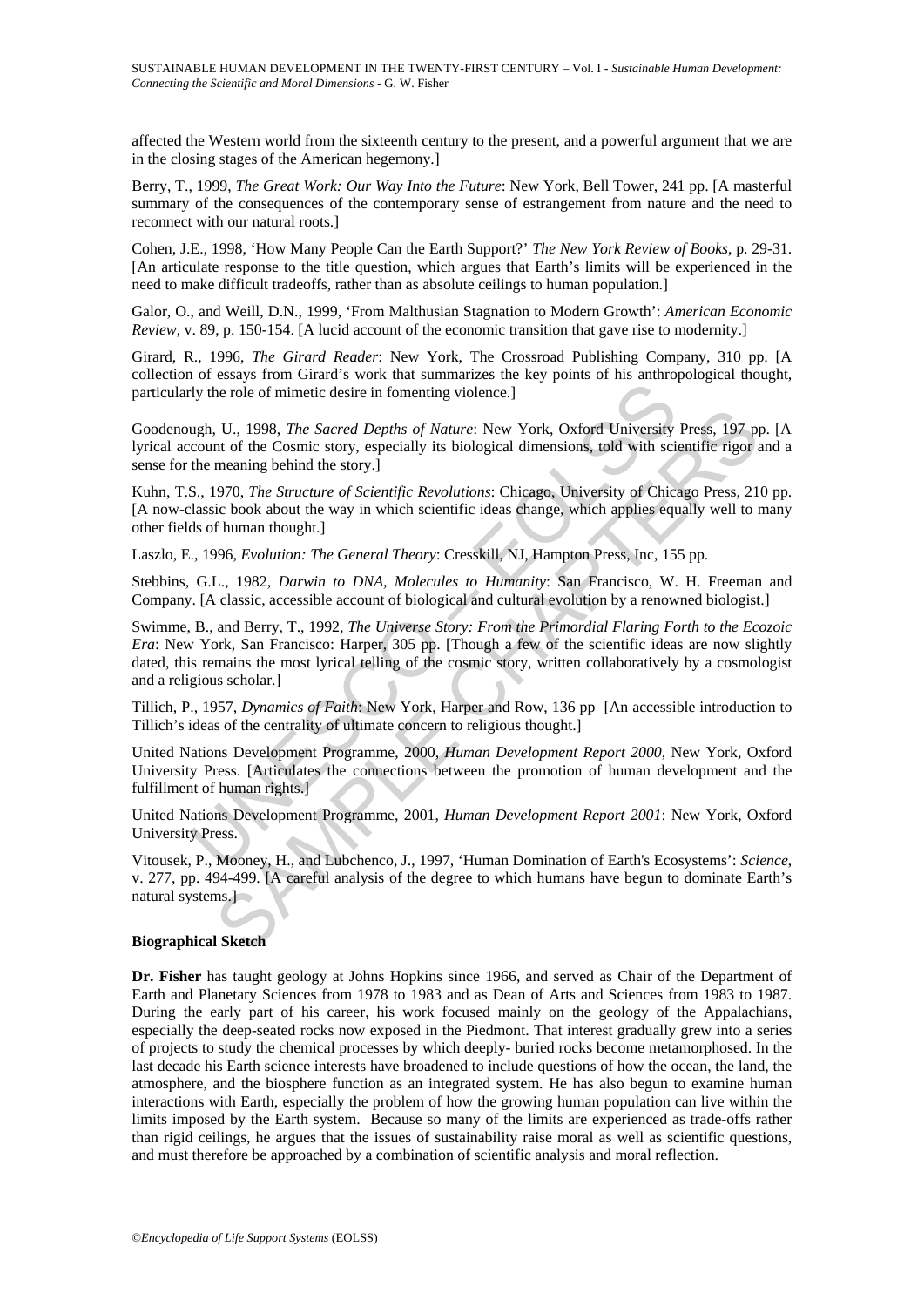affected the Western world from the sixteenth century to the present, and a powerful argument that we are in the closing stages of the American hegemony.]

Berry, T., 1999, *The Great Work: Our Way Into the Future*: New York, Bell Tower, 241 pp. [A masterful summary of the consequences of the contemporary sense of estrangement from nature and the need to reconnect with our natural roots.]

Cohen, J.E., 1998, 'How Many People Can the Earth Support?' *The New York Review of Books*, p. 29-31. [An articulate response to the title question, which argues that Earth's limits will be experienced in the need to make difficult tradeoffs, rather than as absolute ceilings to human population.]

Galor, O., and Weill, D.N., 1999, 'From Malthusian Stagnation to Modern Growth': *American Economic Review*, v. 89, p. 150-154. [A lucid account of the economic transition that gave rise to modernity.]

Girard, R., 1996, *The Girard Reader*: New York, The Crossroad Publishing Company, 310 pp. [A collection of essays from Girard's work that summarizes the key points of his anthropological thought, particularly the role of mimetic desire in fomenting violence.]

Goodenough, U., 1998, *The Sacred Depths of Nature*: New York, Oxford University Press, 197 pp. [A lyrical account of the Cosmic story, especially its biological dimensions, told with scientific rigor and a sense for the meaning behind the story.]

Kuhn, T.S., 1970, *The Structure of Scientific Revolutions*: Chicago, University of Chicago Press, 210 pp. [A now-classic book about the way in which scientific ideas change, which applies equally well to many other fields of human thought.]

Laszlo, E., 1996, *Evolution: The General Theory*: Cresskill, NJ, Hampton Press, Inc, 155 pp.

Stebbins, G.L., 1982, *Darwin to DNA, Molecules to Humanity*: San Francisco, W. H. Freeman and Company. [A classic, accessible account of biological and cultural evolution by a renowned biologist.]

Figure 1.1 (and Definition Section Internal Contains and Development Report 2001, Posts.<br>
1.1 (and Depthanon Development Properties Contains and Development Press, P., N. Northern Press, P. (1998, The Structure of Scienti , U., 1998, *The Sacred Depths of Nature:* New York, Oxford University Press, 197 ppt of the Cosmic story, especially its biological dimensions, told with scientific rigor meaning behind the story.)<br>meaning behind the sto Swimme, B., and Berry, T., 1992, *The Universe Story: From the Primordial Flaring Forth to the Ecozoic Era*: New York, San Francisco: Harper, 305 pp. [Though a few of the scientific ideas are now slightly dated, this remains the most lyrical telling of the cosmic story, written collaboratively by a cosmologist and a religious scholar.]

Tillich, P., 1957, *Dynamics of Faith*: New York, Harper and Row, 136 pp [An accessible introduction to Tillich's ideas of the centrality of ultimate concern to religious thought.]

United Nations Development Programme, 2000, *Human Development Report 2000*, New York, Oxford University Press. [Articulates the connections between the promotion of human development and the fulfillment of human rights.]

United Nations Development Programme, 2001, *Human Development Report 2001*: New York, Oxford University Press.

Vitousek, P., Mooney, H., and Lubchenco, J., 1997, 'Human Domination of Earth's Ecosystems': *Science*, v. 277, pp. 494-499. [A careful analysis of the degree to which humans have begun to dominate Earth's natural systems.

#### **Biographical Sketch**

**Dr. Fisher** has taught geology at Johns Hopkins since 1966, and served as Chair of the Department of Earth and Planetary Sciences from 1978 to 1983 and as Dean of Arts and Sciences from 1983 to 1987. During the early part of his career, his work focused mainly on the geology of the Appalachians, especially the deep-seated rocks now exposed in the Piedmont. That interest gradually grew into a series of projects to study the chemical processes by which deeply- buried rocks become metamorphosed. In the last decade his Earth science interests have broadened to include questions of how the ocean, the land, the atmosphere, and the biosphere function as an integrated system. He has also begun to examine human interactions with Earth, especially the problem of how the growing human population can live within the limits imposed by the Earth system. Because so many of the limits are experienced as trade-offs rather than rigid ceilings, he argues that the issues of sustainability raise moral as well as scientific questions, and must therefore be approached by a combination of scientific analysis and moral reflection.